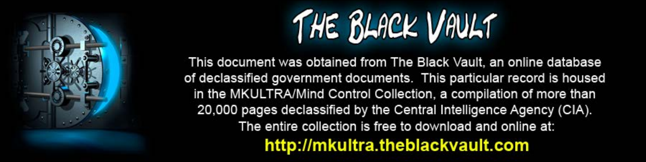

This document was obtained from The Black Vault, an online database of declassified government documents. This particular record is housed in the MKULTRA/Mind Control Collection, a compilation of more than 20,000 pages declassified by the Central Intelligence Agency (CIA). The entire collection is free to download and online at: http://mkultra.theblackvault.com